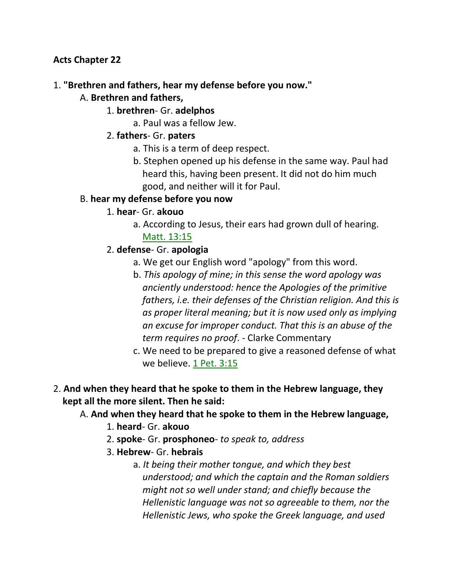**Acts Chapter 22**

## 1. **"Brethren and fathers, hear my defense before you now."**

- A. **Brethren and fathers,**
	- 1. **brethren** Gr. **adelphos**
		- a. Paul was a fellow Jew.
	- 2. **fathers** Gr. **paters**
		- a. This is a term of deep respect.
		- b. Stephen opened up his defense in the same way. Paul had heard this, having been present. It did not do him much good, and neither will it for Paul.

#### B. **hear my defense before you now**

- 1. **hear** Gr. **akouo**
	- a. According to Jesus, their ears had grown dull of hearing. Matt. 13:15
- 2. **defense** Gr. **apologia**
	- a. We get our English word "apology" from this word.
	- b. *This apology of mine; in this sense the word apology was anciently understood: hence the Apologies of the primitive fathers, i.e. their defenses of the Christian religion. And this is as proper literal meaning; but it is now used only as implying an excuse for improper conduct. That this is an abuse of the term requires no proof*. - Clarke Commentary
	- c. We need to be prepared to give a reasoned defense of what we believe.  $1$  Pet.  $3:15$
- 2. **And when they heard that he spoke to them in the Hebrew language, they kept all the more silent. Then he said:**

## A. **And when they heard that he spoke to them in the Hebrew language,**

- 1. **heard** Gr. **akouo**
- 2. **spoke** Gr. **prosphoneo** *to speak to, address*
- 3. **Hebrew** Gr. **hebrais**
	- a. *It being their mother tongue, and which they best understood; and which the captain and the Roman soldiers might not so well under stand; and chiefly because the Hellenistic language was not so agreeable to them, nor the Hellenistic Jews, who spoke the Greek language, and used*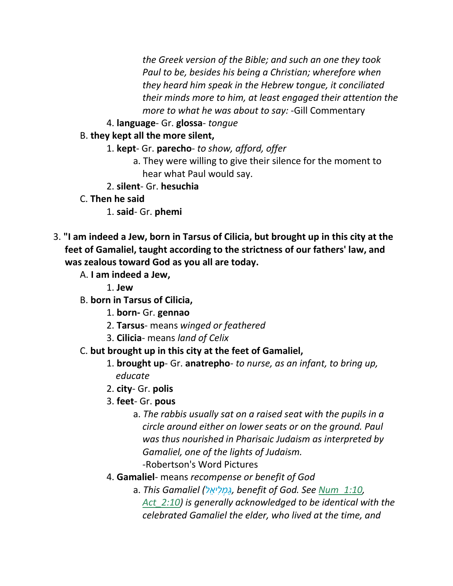*the Greek version of the Bible; and such an one they took Paul to be, besides his being a Christian; wherefore when they heard him speak in the Hebrew tongue, it conciliated their minds more to him, at least engaged their attention the more to what he was about to say:* -Gill Commentary

4. **language**- Gr. **glossa**- *tongue*

## B. **they kept all the more silent,**

- 1. **kept** Gr. **parecho** *to show, afford, offer*
	- a. They were willing to give their silence for the moment to hear what Paul would say.
- 2. **silent** Gr. **hesuchia**
- C. **Then he said**
	- 1. **said** Gr. **phemi**
- 3. **"I am indeed a Jew, born in Tarsus of Cilicia, but brought up in this city at the feet of Gamaliel, taught according to the strictness of our fathers' law, and was zealous toward God as you all are today.**
	- A. **I am indeed a Jew,**

1. **Jew**

- B. **born in Tarsus of Cilicia,**
	- 1. **born-** Gr. **gennao**
	- 2. **Tarsus** means *winged or feathered*
	- 3. **Cilicia** means *land of Celix*
- C. **but brought up in this city at the feet of Gamaliel,**
	- 1. **brought up** Gr. **anatrepho** *to nurse, as an infant, to bring up, educate*
	- 2. **city** Gr. **polis**
	- 3. **feet** Gr. **pous**
		- a. *The rabbis usually sat on a raised seat with the pupils in a circle around either on lower seats or on the ground. Paul was thus nourished in Pharisaic Judaism as interpreted by Gamaliel, one of the lights of Judaism.* -Robertson's Word Pictures
	- 4. **Gamaliel** means *recompense or benefit of God*
		- a. *This Gamaliel (ל ֵיא ִל ְמַּ ג, benefit of God. See Num\_1:10, Act\_2:10) is generally acknowledged to be identical with the celebrated Gamaliel the elder, who lived at the time, and*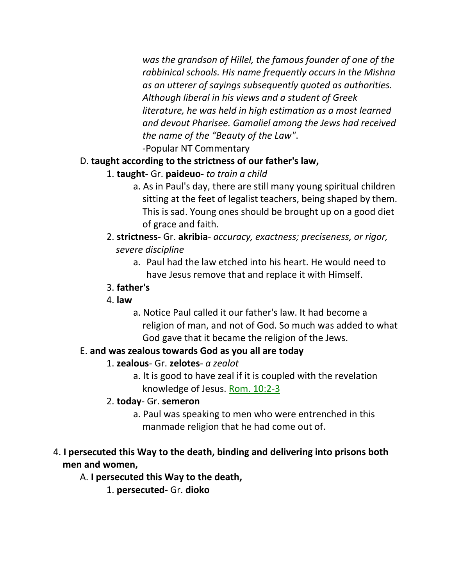*was the grandson of Hillel, the famous founder of one of the rabbinical schools. His name frequently occurs in the Mishna as an utterer of sayings subsequently quoted as authorities. Although liberal in his views and a student of Greek literature, he was held in high estimation as a most learned and devout Pharisee. Gamaliel among the Jews had received the name of the "Beauty of the Law"*. -Popular NT Commentary

## D. **taught according to the strictness of our father's law,**

- 1. **taught-** Gr. **paideuo-** *to train a child*
	- a. As in Paul's day, there are still many young spiritual children sitting at the feet of legalist teachers, being shaped by them. This is sad. Young ones should be brought up on a good diet of grace and faith.
- 2. **strictness-** Gr. **akribia** *accuracy, exactness; preciseness, or rigor, severe discipline*
	- a. Paul had the law etched into his heart. He would need to have Jesus remove that and replace it with Himself.

#### 3. **father's**

- 4. **law**
	- a. Notice Paul called it our father's law. It had become a religion of man, and not of God. So much was added to what God gave that it became the religion of the Jews.

# E. **and was zealous towards God as you all are today**

- 1. **zealous** Gr. **zelotes** *a zealot*
	- a. It is good to have zeal if it is coupled with the revelation knowledge of Jesus. Rom. 10:2-3

## 2. **today**- Gr. **semeron**

a. Paul was speaking to men who were entrenched in this manmade religion that he had come out of.

# 4. **I persecuted this Way to the death, binding and delivering into prisons both men and women,**

## A. **I persecuted this Way to the death,**

1. **persecuted**- Gr. **dioko**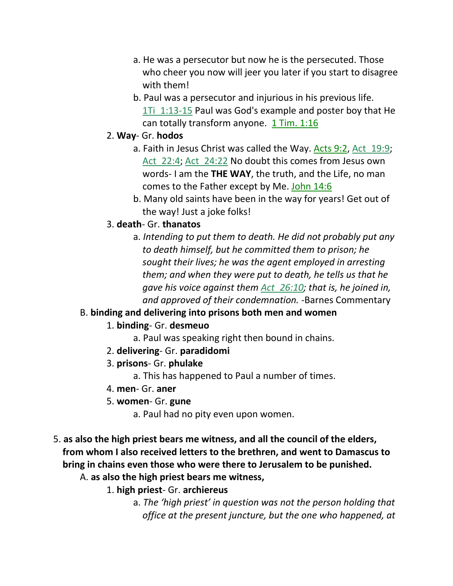- a. He was a persecutor but now he is the persecuted. Those who cheer you now will jeer you later if you start to disagree with them!
- b. Paul was a persecutor and injurious in his previous life. 1Ti 1:13-15 Paul was God's example and poster boy that He can totally transform anyone.  $1$  Tim.  $1:16$
- 2. **Way** Gr. **hodos**
	- a. Faith in Jesus Christ was called the Way. Acts 9:2, Act\_19:9; Act 22:4; Act 24:22 No doubt this comes from Jesus own words- I am the **THE WAY**, the truth, and the Life, no man comes to the Father except by Me. John 14:6
	- b. Many old saints have been in the way for years! Get out of the way! Just a joke folks!
- 3. **death** Gr. **thanatos**
	- a. *Intending to put them to death. He did not probably put any to death himself, but he committed them to prison; he sought their lives; he was the agent employed in arresting them; and when they were put to death, he tells us that he gave his voice against them Act\_26:10; that is, he joined in, and approved of their condemnation.* -Barnes Commentary

#### B. **binding and delivering into prisons both men and women**

- 1. **binding** Gr. **desmeuo**
	- a. Paul was speaking right then bound in chains.
- 2. **delivering** Gr. **paradidomi**
- 3. **prisons** Gr. **phulake**

a. This has happened to Paul a number of times.

- 4. **men** Gr. **aner**
- 5. **women** Gr. **gune**

a. Paul had no pity even upon women.

- 5. **as also the high priest bears me witness, and all the council of the elders, from whom I also received letters to the brethren, and went to Damascus to bring in chains even those who were there to Jerusalem to be punished.**
	- A. **as also the high priest bears me witness,**

1. **high priest**- Gr. **archiereus**

a. *The 'high priest' in question was not the person holding that office at the present juncture, but the one who happened, at*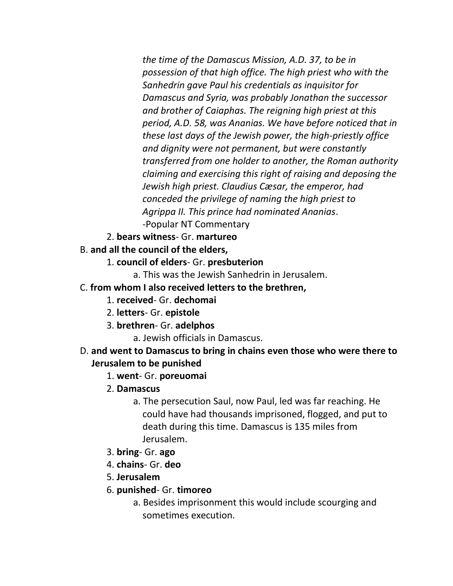*the time of the Damascus Mission, A.D. 37, to be in possession of that high office. The high priest who with the Sanhedrin gave Paul his credentials as inquisitor for Damascus and Syria, was probably Jonathan the successor and brother of Caiaphas. The reigning high priest at this period, A.D. 58, was Ananias. We have before noticed that in these last days of the Jewish power, the high-priestly office and dignity were not permanent, but were constantly transferred from one holder to another, the Roman authority claiming and exercising this right of raising and deposing the Jewish high priest. Claudius Cæsar, the emperor, had conceded the privilege of naming the high priest to Agrippa II. This prince had nominated Ananias*. -Popular NT Commentary

- 2. **bears witness** Gr. **martureo**
- B. **and all the council of the elders,**
	- 1. **council of elders** Gr. **presbuterion**
		- a. This was the Jewish Sanhedrin in Jerusalem.
- C. **from whom I also received letters to the brethren,**
	- 1. **received** Gr. **dechomai**
	- 2. **letters** Gr. **epistole**
	- 3. **brethren** Gr. **adelphos**

a. Jewish officials in Damascus.

- D. **and went to Damascus to bring in chains even those who were there to Jerusalem to be punished**
	- 1. **went** Gr. **poreuomai**
	- 2. **Damascus**
		- a. The persecution Saul, now Paul, led was far reaching. He could have had thousands imprisoned, flogged, and put to death during this time. Damascus is 135 miles from Jerusalem.
	- 3. **bring** Gr. **ago**
	- 4. **chains** Gr. **deo**
	- 5. **Jerusalem**
	- 6. **punished** Gr. **timoreo**
		- a. Besides imprisonment this would include scourging and sometimes execution.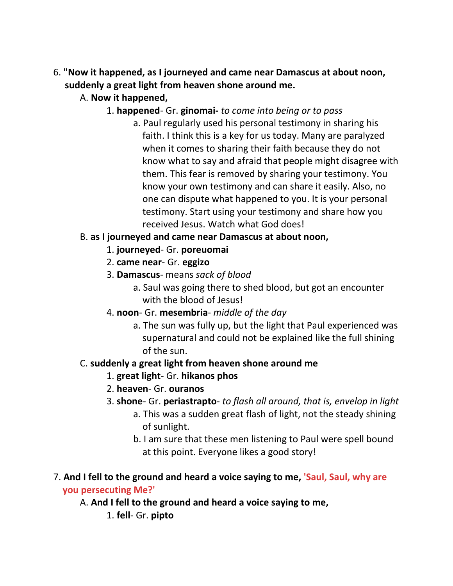- 6. **"Now it happened, as I journeyed and came near Damascus at about noon, suddenly a great light from heaven shone around me.**
	- A. **Now it happened,**
		- 1. **happened** Gr. **ginomai-** *to come into being or to pass*
			- a. Paul regularly used his personal testimony in sharing his faith. I think this is a key for us today. Many are paralyzed when it comes to sharing their faith because they do not know what to say and afraid that people might disagree with them. This fear is removed by sharing your testimony. You know your own testimony and can share it easily. Also, no one can dispute what happened to you. It is your personal testimony. Start using your testimony and share how you received Jesus. Watch what God does!

## B. **as I journeyed and came near Damascus at about noon,**

- 1. **journeyed** Gr. **poreuomai**
- 2. **came near** Gr. **eggizo**
- 3. **Damascus** means *sack of blood*
	- a. Saul was going there to shed blood, but got an encounter with the blood of Jesus!
- 4. **noon** Gr. **mesembria** *middle of the day*
	- a. The sun was fully up, but the light that Paul experienced was supernatural and could not be explained like the full shining of the sun.

# C. **suddenly a great light from heaven shone around me**

- 1. **great light** Gr. **hikanos phos**
- 2. **heaven** Gr. **ouranos**
- 3. **shone** Gr. **periastrapto** *to flash all around, that is, envelop in light*
	- a. This was a sudden great flash of light, not the steady shining of sunlight.
	- b. I am sure that these men listening to Paul were spell bound at this point. Everyone likes a good story!

## 7. **And I fell to the ground and heard a voice saying to me, 'Saul, Saul, why are you persecuting Me?'**

- A. **And I fell to the ground and heard a voice saying to me,**
	- 1. **fell** Gr. **pipto**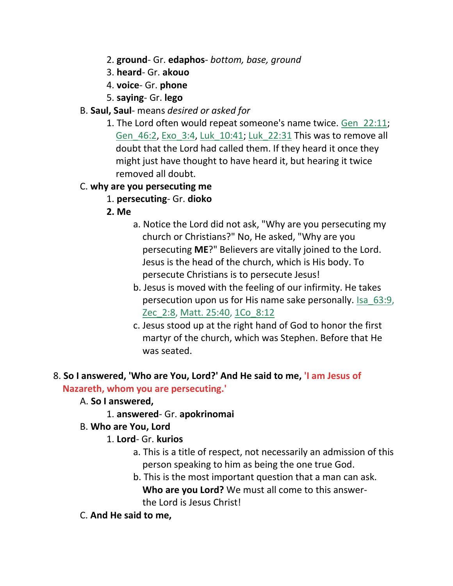- 2. **ground** Gr. **edaphos** *bottom, base, ground*
- 3. **heard** Gr. **akouo**
- 4. **voice** Gr. **phone**
- 5. **saying** Gr. **lego**
- B. **Saul, Saul** means *desired or asked for*
	- 1. The Lord often would repeat someone's name twice. Gen\_22:11; Gen\_46:2, Exo\_3:4, Luk\_10:41; Luk\_22:31 This was to remove all doubt that the Lord had called them. If they heard it once they might just have thought to have heard it, but hearing it twice removed all doubt.

## C. **why are you persecuting me**

- 1. **persecuting** Gr. **dioko**
- **2. Me**
	- a. Notice the Lord did not ask, "Why are you persecuting my church or Christians?" No, He asked, "Why are you persecuting **ME**?" Believers are vitally joined to the Lord. Jesus is the head of the church, which is His body. To persecute Christians is to persecute Jesus!
	- b. Jesus is moved with the feeling of our infirmity. He takes persecution upon us for His name sake personally. Isa\_63:9, Zec 2:8, Matt. 25:40, 1Co 8:12
	- c. Jesus stood up at the right hand of God to honor the first martyr of the church, which was Stephen. Before that He was seated.

#### 8. **So I answered, 'Who are You, Lord?' And He said to me, 'I am Jesus of Nazareth, whom you are persecuting.'**

- A. **So I answered,**
	- 1. **answered** Gr. **apokrinomai**
- B. **Who are You, Lord**
	- 1. **Lord** Gr. **kurios**
		- a. This is a title of respect, not necessarily an admission of this person speaking to him as being the one true God.
		- b. This is the most important question that a man can ask.  **Who are you Lord?** We must all come to this answer the Lord is Jesus Christ!
- C. **And He said to me,**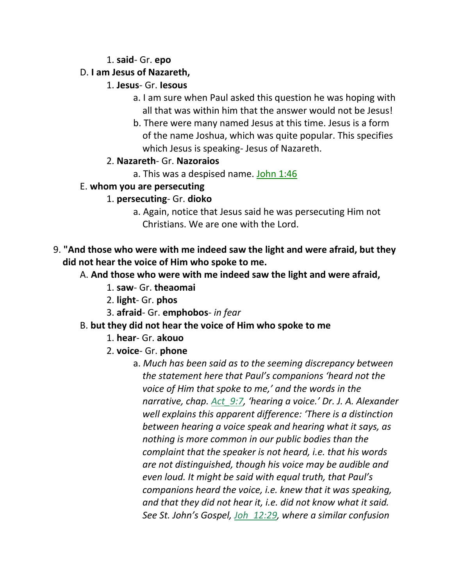#### 1. **said**- Gr. **epo**

## D. **I am Jesus of Nazareth,**

## 1. **Jesus**- Gr. **Iesous**

- a. I am sure when Paul asked this question he was hoping with all that was within him that the answer would not be Jesus!
- b. There were many named Jesus at this time. Jesus is a form of the name Joshua, which was quite popular. This specifies which Jesus is speaking- Jesus of Nazareth.

## 2. **Nazareth**- Gr. **Nazoraios**

a. This was a despised name. John 1:46

## E. **whom you are persecuting**

## 1. **persecuting**- Gr. **dioko**

- a. Again, notice that Jesus said he was persecuting Him not Christians. We are one with the Lord.
- 9. **"And those who were with me indeed saw the light and were afraid, but they did not hear the voice of Him who spoke to me.**
	- A. **And those who were with me indeed saw the light and were afraid,**
		- 1. **saw** Gr. **theaomai**
		- 2. **light** Gr. **phos**
		- 3. **afraid** Gr. **emphobos** *in fear*

# B. **but they did not hear the voice of Him who spoke to me**

- 1. **hear** Gr. **akouo**
- 2. **voice** Gr. **phone**
	- a. *Much has been said as to the seeming discrepancy between the statement here that Paul's companions 'heard not the voice of Him that spoke to me,' and the words in the narrative, chap. Act\_9:7, 'hearing a voice.' Dr. J. A. Alexander well explains this apparent difference: 'There is a distinction between hearing a voice speak and hearing what it says, as nothing is more common in our public bodies than the complaint that the speaker is not heard, i.e. that his words are not distinguished, though his voice may be audible and even loud. It might be said with equal truth, that Paul's companions heard the voice, i.e. knew that it was speaking, and that they did not hear it, i.e. did not know what it said. See St. John's Gospel, Joh\_12:29, where a similar confusion*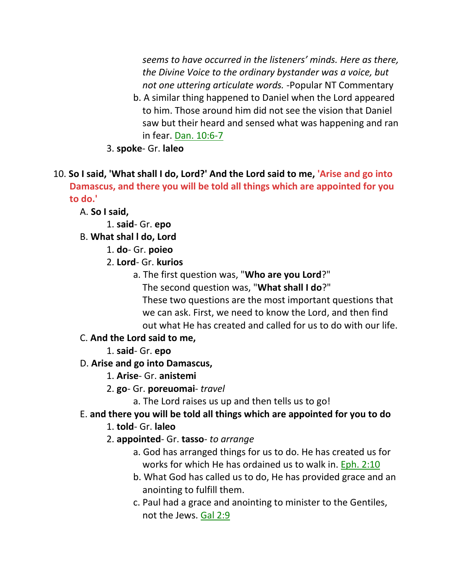*seems to have occurred in the listeners' minds. Here as there, the Divine Voice to the ordinary bystander was a voice, but not one uttering articulate words.* -Popular NT Commentary

- b. A similar thing happened to Daniel when the Lord appeared to him. Those around him did not see the vision that Daniel saw but their heard and sensed what was happening and ran in fear. Dan. 10:6-7
- 3. **spoke** Gr. **laleo**
- 10. **So I said, 'What shall I do, Lord?' And the Lord said to me, 'Arise and go into Damascus, and there you will be told all things which are appointed for you to do.'**
	- A. **So I said,**
		- 1. **said** Gr. **epo**
	- B. **What shal l do, Lord**
		- 1. **do** Gr. **poieo**
		- 2. **Lord** Gr. **kurios**
			- a. The first question was, "**Who are you Lord**?" The second question was, "**What shall I do**?"
				- These two questions are the most important questions that we can ask. First, we need to know the Lord, and then find out what He has created and called for us to do with our life.

## C. **And the Lord said to me,**

1. **said**- Gr. **epo**

## D. **Arise and go into Damascus,**

- 1. **Arise** Gr. **anistemi**
- 2. **go** Gr. **poreuomai** *travel*
	- a. The Lord raises us up and then tells us to go!

# E. **and there you will be told all things which are appointed for you to do**

- 1. **told** Gr. **laleo**
- 2. **appointed** Gr. **tasso** *to arrange*
	- a. God has arranged things for us to do. He has created us for works for which He has ordained us to walk in. Eph. 2:10
	- b. What God has called us to do, He has provided grace and an anointing to fulfill them.
	- c. Paul had a grace and anointing to minister to the Gentiles, not the Jews. Gal 2:9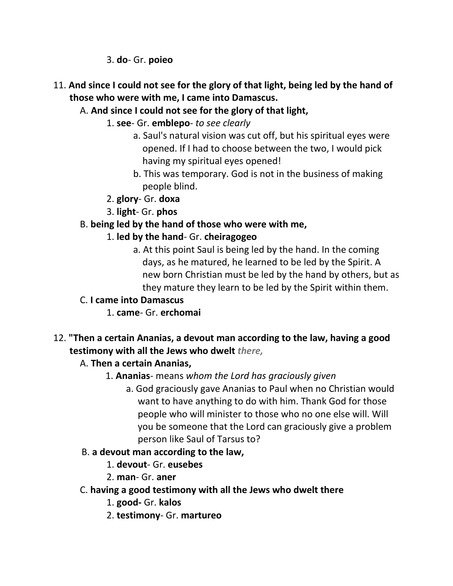3. **do**- Gr. **poieo**

- 11. **And since I could not see for the glory of that light, being led by the hand of those who were with me, I came into Damascus.**
	- A. **And since I could not see for the glory of that light,**
		- 1. **see** Gr. **emblepo** *to see clearly*
			- a. Saul's natural vision was cut off, but his spiritual eyes were opened. If I had to choose between the two, I would pick having my spiritual eyes opened!
			- b. This was temporary. God is not in the business of making people blind.
		- 2. **glory** Gr. **doxa**
		- 3. **light** Gr. **phos**

# B. **being led by the hand of those who were with me,**

- 1. **led by the hand** Gr. **cheiragogeo**
	- a. At this point Saul is being led by the hand. In the coming days, as he matured, he learned to be led by the Spirit. A new born Christian must be led by the hand by others, but as they mature they learn to be led by the Spirit within them.
- C. **I came into Damascus**
	- 1. **came** Gr. **erchomai**
- 12. **"Then a certain Ananias, a devout man according to the law, having a good testimony with all the Jews who dwelt** *there,*

# A. **Then a certain Ananias,**

- 1. **Ananias** means *whom the Lord has graciously given*
	- a. God graciously gave Ananias to Paul when no Christian would want to have anything to do with him. Thank God for those people who will minister to those who no one else will. Will you be someone that the Lord can graciously give a problem person like Saul of Tarsus to?
- B. **a devout man according to the law,**
	- 1. **devout** Gr. **eusebes**
	- 2. **man** Gr. **aner**
- C. **having a good testimony with all the Jews who dwelt there**
	- 1. **good-** Gr. **kalos**
	- 2. **testimony** Gr. **martureo**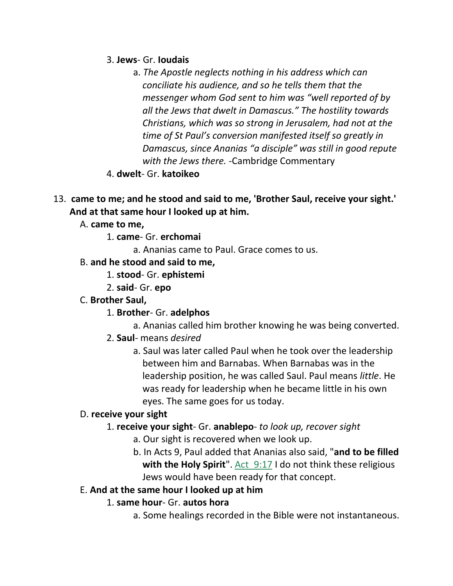3. **Jews**- Gr. **Ioudais**

- a. *The Apostle neglects nothing in his address which can conciliate his audience, and so he tells them that the messenger whom God sent to him was "well reported of by all the Jews that dwelt in Damascus." The hostility towards Christians, which was so strong in Jerusalem, had not at the time of St Paul's conversion manifested itself so greatly in Damascus, since Ananias "a disciple" was still in good repute with the Jews there.* -Cambridge Commentary
- 4. **dwelt** Gr. **katoikeo**
- 13. **came to me; and he stood and said to me, 'Brother Saul, receive your sight.' And at that same hour I looked up at him.**
	- A. **came to me,**
		- 1. **came** Gr. **erchomai**
			- a. Ananias came to Paul. Grace comes to us.
	- B. **and he stood and said to me,**
		- 1. **stood** Gr. **ephistemi**
		- 2. **said** Gr. **epo**
	- C. **Brother Saul,**
		- 1. **Brother** Gr. **adelphos**
			- a. Ananias called him brother knowing he was being converted.
		- 2. **Saul** means *desired*
			- a. Saul was later called Paul when he took over the leadership between him and Barnabas. When Barnabas was in the leadership position, he was called Saul. Paul means *little*. He was ready for leadership when he became little in his own eyes. The same goes for us today.

# D. **receive your sight**

## 1. **receive your sight**- Gr. **anablepo**- *to look up, recover sight*

- a. Our sight is recovered when we look up.
- b. In Acts 9, Paul added that Ananias also said, "**and to be filled** with the Holy Spirit". Act 9:17 I do not think these religious Jews would have been ready for that concept.

## E. **And at the same hour I looked up at him**

- 1. **same hour** Gr. **autos hora**
	- a. Some healings recorded in the Bible were not instantaneous.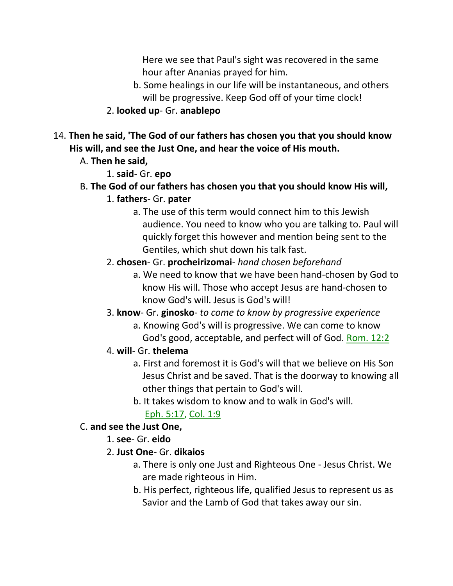Here we see that Paul's sight was recovered in the same hour after Ananias prayed for him.

- b. Some healings in our life will be instantaneous, and others will be progressive. Keep God off of your time clock!
- 2. **looked up** Gr. **anablepo**
- 14. **Then he said, 'The God of our fathers has chosen you that you should know His will, and see the Just One, and hear the voice of His mouth.**
	- A. **Then he said,**
		- 1. **said** Gr. **epo**
	- B. **The God of our fathers has chosen you that you should know His will,**
		- 1. **fathers** Gr. **pater**
			- a. The use of this term would connect him to this Jewish audience. You need to know who you are talking to. Paul will quickly forget this however and mention being sent to the Gentiles, which shut down his talk fast.
		- 2. **chosen** Gr. **procheirizomai** *hand chosen beforehand*
			- a. We need to know that we have been hand-chosen by God to know His will. Those who accept Jesus are hand-chosen to know God's will. Jesus is God's will!
		- 3. **know** Gr. **ginosko** *to come to know by progressive experience*
			- a. Knowing God's will is progressive. We can come to know God's good, acceptable, and perfect will of God. Rom. 12:2
		- 4. **will** Gr. **thelema**
			- a. First and foremost it is God's will that we believe on His Son Jesus Christ and be saved. That is the doorway to knowing all other things that pertain to God's will.
			- b. It takes wisdom to know and to walk in God's will.

## Eph. 5:17, Col. 1:9

#### C. **and see the Just One,**

- 1. **see** Gr. **eido**
- 2. **Just One** Gr. **dikaios**
	- a. There is only one Just and Righteous One Jesus Christ. We are made righteous in Him.
	- b. His perfect, righteous life, qualified Jesus to represent us as Savior and the Lamb of God that takes away our sin.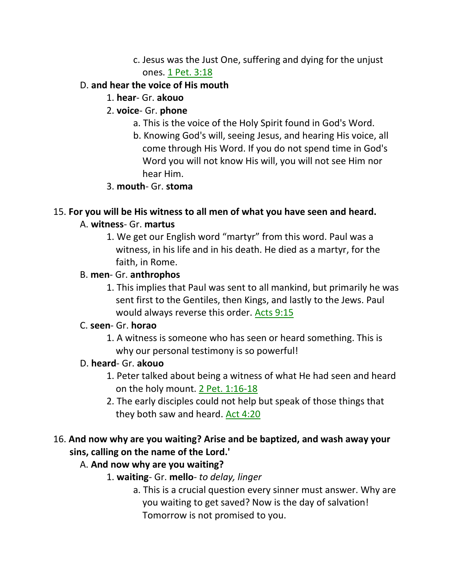c. Jesus was the Just One, suffering and dying for the unjust ones. 1 Pet. 3:18

## D. **and hear the voice of His mouth**

1. **hear**- Gr. **akouo**

## 2. **voice**- Gr. **phone**

- a. This is the voice of the Holy Spirit found in God's Word.
- b. Knowing God's will, seeing Jesus, and hearing His voice, all come through His Word. If you do not spend time in God's Word you will not know His will, you will not see Him nor hear Him.

## 3. **mouth**- Gr. **stoma**

## 15. **For you will be His witness to all men of what you have seen and heard.**

## A. **witness**- Gr. **martus**

1. We get our English word "martyr" from this word. Paul was a witness, in his life and in his death. He died as a martyr, for the faith, in Rome.

## B. **men**- Gr. **anthrophos**

1. This implies that Paul was sent to all mankind, but primarily he was sent first to the Gentiles, then Kings, and lastly to the Jews. Paul would always reverse this order. Acts 9:15

# C. **seen**- Gr. **horao**

1. A witness is someone who has seen or heard something. This is why our personal testimony is so powerful!

# D. **heard**- Gr. **akouo**

- 1. Peter talked about being a witness of what He had seen and heard on the holy mount. 2 Pet. 1:16-18
- 2. The early disciples could not help but speak of those things that they both saw and heard. Act 4:20

# 16. **And now why are you waiting? Arise and be baptized, and wash away your sins, calling on the name of the Lord.'**

# A. **And now why are you waiting?**

- 1. **waiting** Gr. **mello** *to delay, linger*
	- a. This is a crucial question every sinner must answer. Why are you waiting to get saved? Now is the day of salvation! Tomorrow is not promised to you.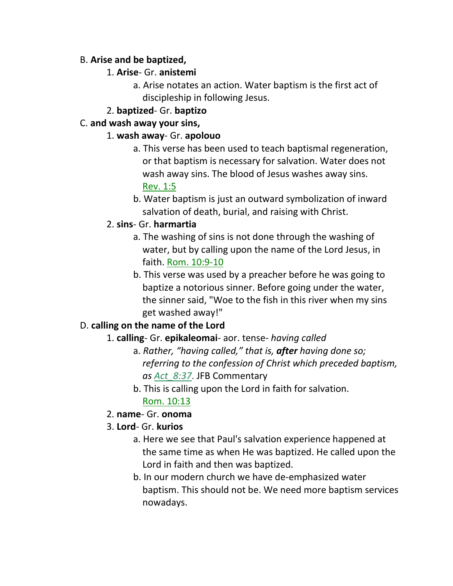#### B. **Arise and be baptized,**

## 1. **Arise**- Gr. **anistemi**

a. Arise notates an action. Water baptism is the first act of discipleship in following Jesus.

## 2. **baptized**- Gr. **baptizo**

#### C. **and wash away your sins,**

#### 1. **wash away**- Gr. **apolouo**

- a. This verse has been used to teach baptismal regeneration, or that baptism is necessary for salvation. Water does not wash away sins. The blood of Jesus washes away sins. Rev. 1:5
- b. Water baptism is just an outward symbolization of inward salvation of death, burial, and raising with Christ.

## 2. **sins**- Gr. **harmartia**

- a. The washing of sins is not done through the washing of water, but by calling upon the name of the Lord Jesus, in faith. Rom. 10:9-10
- b. This verse was used by a preacher before he was going to baptize a notorious sinner. Before going under the water, the sinner said, "Woe to the fish in this river when my sins get washed away!"

# D. **calling on the name of the Lord**

## 1. **calling**- Gr. **epikaleomai**- aor. tense- *having called*

- a. *Rather, "having called," that is, after having done so; referring to the confession of Christ which preceded baptism, as Act\_8:37*. JFB Commentary
	- b. This is calling upon the Lord in faith for salvation. Rom. 10:13

## 2. **name**- Gr. **onoma**

## 3. **Lord**- Gr. **kurios**

- a. Here we see that Paul's salvation experience happened at the same time as when He was baptized. He called upon the Lord in faith and then was baptized.
- b. In our modern church we have de-emphasized water baptism. This should not be. We need more baptism services nowadays.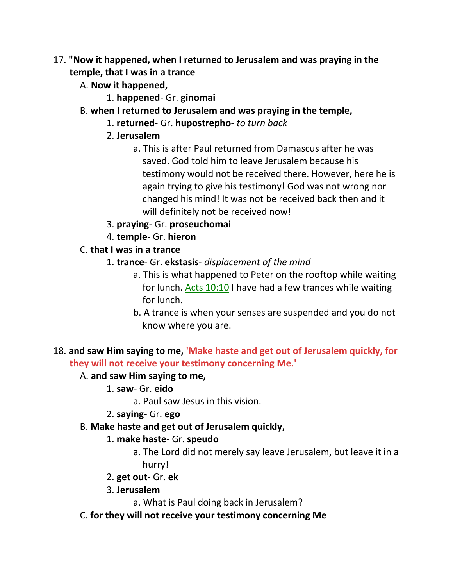- 17. **"Now it happened, when I returned to Jerusalem and was praying in the temple, that I was in a trance**
	- A. **Now it happened,**
		- 1. **happened** Gr. **ginomai**
	- B. **when I returned to Jerusalem and was praying in the temple,**
		- 1. **returned** Gr. **hupostrepho** *to turn back*
		- 2. **Jerusalem**
			- a. This is after Paul returned from Damascus after he was saved. God told him to leave Jerusalem because his testimony would not be received there. However, here he is again trying to give his testimony! God was not wrong nor changed his mind! It was not be received back then and it will definitely not be received now!
		- 3. **praying** Gr. **proseuchomai**
		- 4. **temple** Gr. **hieron**
	- C. **that I was in a trance**
		- 1. **trance** Gr. **ekstasis** *displacement of the mind*
			- a. This is what happened to Peter on the rooftop while waiting for lunch. Acts 10:10 I have had a few trances while waiting for lunch.
			- b. A trance is when your senses are suspended and you do not know where you are.

## 18. **and saw Him saying to me, 'Make haste and get out of Jerusalem quickly, for they will not receive your testimony concerning Me.'**

#### A. **and saw Him saying to me,**

- 1. **saw** Gr. **eido**
	- a. Paul saw Jesus in this vision.

#### 2. **saying**- Gr. **ego**

B. **Make haste and get out of Jerusalem quickly,**

#### 1. **make haste**- Gr. **speudo**

- a. The Lord did not merely say leave Jerusalem, but leave it in a hurry!
- 2. **get out** Gr. **ek**

#### 3. **Jerusalem**

- a. What is Paul doing back in Jerusalem?
- C. **for they will not receive your testimony concerning Me**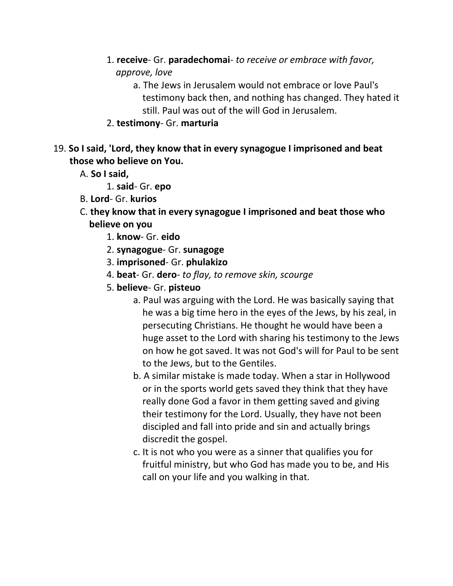- 1. **receive** Gr. **paradechomai** *to receive or embrace with favor, approve, love*
	- a. The Jews in Jerusalem would not embrace or love Paul's testimony back then, and nothing has changed. They hated it still. Paul was out of the will God in Jerusalem.
- 2. **testimony** Gr. **marturia**
- 19. **So I said, 'Lord, they know that in every synagogue I imprisoned and beat those who believe on You.**
	- A. **So I said,**
		- 1. **said** Gr. **epo**
	- B. **Lord** Gr. **kurios**
	- C. **they know that in every synagogue I imprisoned and beat those who believe on you**
		- 1. **know** Gr. **eido**
		- 2. **synagogue** Gr. **sunagoge**
		- 3. **imprisoned** Gr. **phulakizo**
		- 4. **beat** Gr. **dero** *to flay, to remove skin, scourge*
		- 5. **believe** Gr. **pisteuo**
			- a. Paul was arguing with the Lord. He was basically saying that he was a big time hero in the eyes of the Jews, by his zeal, in persecuting Christians. He thought he would have been a huge asset to the Lord with sharing his testimony to the Jews on how he got saved. It was not God's will for Paul to be sent to the Jews, but to the Gentiles.
			- b. A similar mistake is made today. When a star in Hollywood or in the sports world gets saved they think that they have really done God a favor in them getting saved and giving their testimony for the Lord. Usually, they have not been discipled and fall into pride and sin and actually brings discredit the gospel.
			- c. It is not who you were as a sinner that qualifies you for fruitful ministry, but who God has made you to be, and His call on your life and you walking in that.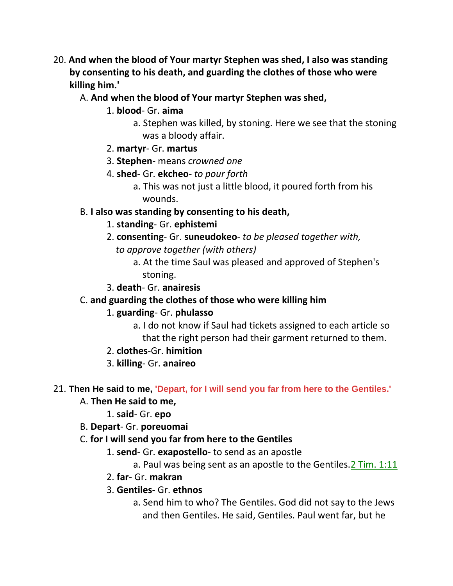- 20. **And when the blood of Your martyr Stephen was shed, I also was standing by consenting to his death, and guarding the clothes of those who were killing him.'**
	- A. **And when the blood of Your martyr Stephen was shed,**
		- 1. **blood** Gr. **aima**
			- a. Stephen was killed, by stoning. Here we see that the stoning was a bloody affair.
		- 2. **martyr** Gr. **martus**
		- 3. **Stephen** means *crowned one*
		- 4. **shed** Gr. **ekcheo** *to pour forth*
			- a. This was not just a little blood, it poured forth from his wounds.

#### B. **I also was standing by consenting to his death,**

- 1. **standing** Gr. **ephistemi**
- 2. **consenting** Gr. **suneudokeo** *to be pleased together with, to approve together (with others)*
	- a. At the time Saul was pleased and approved of Stephen's stoning.

#### 3. **death**- Gr. **anairesis**

## C. **and guarding the clothes of those who were killing him**

## 1. **guarding**- Gr. **phulasso**

- a. I do not know if Saul had tickets assigned to each article so that the right person had their garment returned to them.
- 2. **clothes**-Gr. **himition**
- 3. **killing** Gr. **anaireo**

#### 21. **Then He said to me, 'Depart, for I will send you far from here to the Gentiles.'**

#### A. **Then He said to me,**

- 1. **said** Gr. **epo**
- B. **Depart** Gr. **poreuomai**

#### C. **for I will send you far from here to the Gentiles**

- 1. **send** Gr. **exapostello** to send as an apostle
	- a. Paul was being sent as an apostle to the Gentiles.2 Tim. 1:11
- 2. **far** Gr. **makran**

#### 3. **Gentiles**- Gr. **ethnos**

a. Send him to who? The Gentiles. God did not say to the Jews and then Gentiles. He said, Gentiles. Paul went far, but he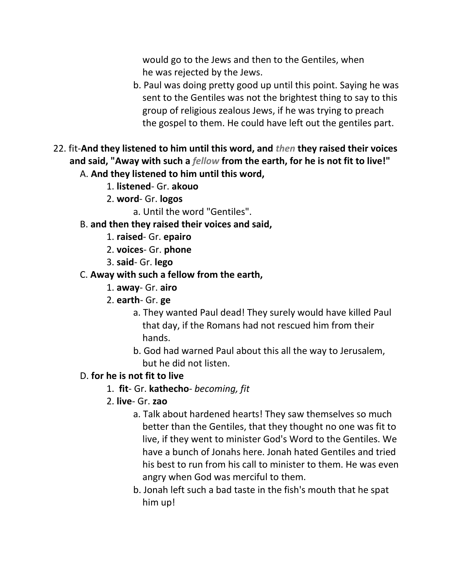would go to the Jews and then to the Gentiles, when he was rejected by the Jews.

- b. Paul was doing pretty good up until this point. Saying he was sent to the Gentiles was not the brightest thing to say to this group of religious zealous Jews, if he was trying to preach the gospel to them. He could have left out the gentiles part.
- 22. fit-**And they listened to him until this word, and** *then* **they raised their voices and said, "Away with such a** *fellow* **from the earth, for he is not fit to live!"** A. **And they listened to him until this word,**
	- 1. **listened** Gr. **akouo**
	- 2. **word** Gr. **logos**
		- a. Until the word "Gentiles".
	- B. **and then they raised their voices and said,**
		- 1. **raised** Gr. **epairo**
		- 2. **voices** Gr. **phone**
		- 3. **said** Gr. **lego**
	- C. **Away with such a fellow from the earth,**
		- 1. **away** Gr. **airo**
		- 2. **earth** Gr. **ge**
			- a. They wanted Paul dead! They surely would have killed Paul that day, if the Romans had not rescued him from their hands.
			- b. God had warned Paul about this all the way to Jerusalem, but he did not listen.

## D. **for he is not fit to live**

- 1. **fit** Gr. **kathecho** *becoming, fit*
- 2. **live** Gr. **zao**
	- a. Talk about hardened hearts! They saw themselves so much better than the Gentiles, that they thought no one was fit to live, if they went to minister God's Word to the Gentiles. We have a bunch of Jonahs here. Jonah hated Gentiles and tried his best to run from his call to minister to them. He was even angry when God was merciful to them.
	- b. Jonah left such a bad taste in the fish's mouth that he spat him up!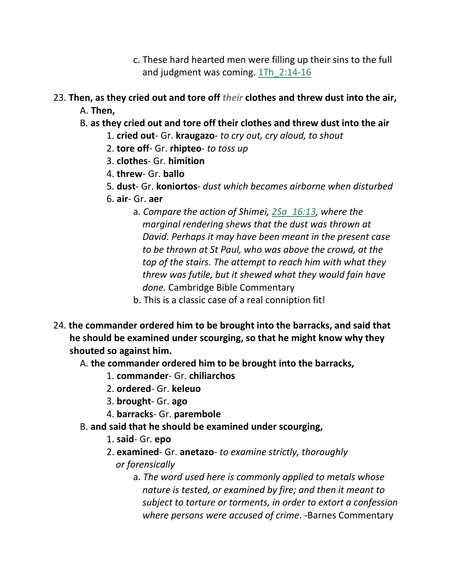- c. These hard hearted men were filling up their sins to the full and judgment was coming.  $1Th$   $2:14-16$
- 23. **Then, as they cried out and tore off** *their* **clothes and threw dust into the air,** A. **Then,**
	- B. **as they cried out and tore off their clothes and threw dust into the air**
		- 1. **cried out** Gr. **kraugazo** *to cry out, cry aloud, to shout*
		- 2. **tore off** Gr. **rhipteo** *to toss up*
		- 3. **clothes** Gr. **himition**
		- 4. **threw** Gr. **ballo**
		- 5. **dust** Gr. **koniortos** *dust which becomes airborne when disturbed*
		- 6. **air** Gr. **aer**
			- a. *Compare the action of Shimei, 2Sa\_16:13, where the marginal rendering shews that the dust was thrown at David. Perhaps it may have been meant in the present case to be thrown at St Paul, who was above the crowd, at the top of the stairs. The attempt to reach him with what they threw was futile, but it shewed what they would fain have done.* Cambridge Bible Commentary
			- b. This is a classic case of a real conniption fit!
- 24. **the commander ordered him to be brought into the barracks, and said that he should be examined under scourging, so that he might know why they shouted so against him.**
	- A. **the commander ordered him to be brought into the barracks,**
		- 1. **commander** Gr. **chiliarchos**
		- 2. **ordered** Gr. **keleuo**
		- 3. **brought** Gr. **ago**
		- 4. **barracks** Gr. **parembole**
	- B. **and said that he should be examined under scourging,**
		- 1. **said** Gr. **epo**
		- 2. **examined** Gr. **anetazo** *to examine strictly, thoroughly or forensically*
			- a. *The word used here is commonly applied to metals whose nature is tested, or examined by fire; and then it meant to subject to torture or torments, in order to extort a confession where persons were accused of crime*. -Barnes Commentary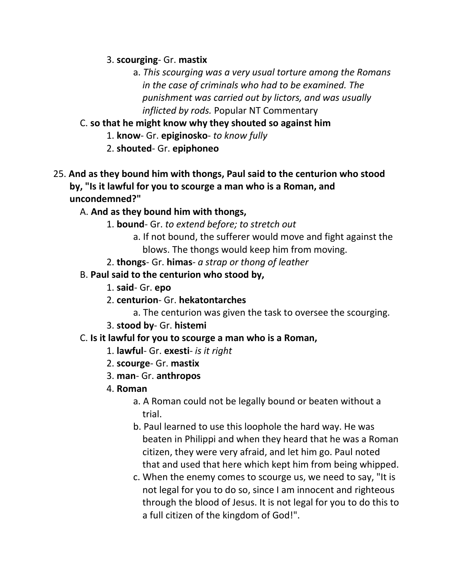3. **scourging**- Gr. **mastix**

- a. *This scourging was a very usual torture among the Romans in the case of criminals who had to be examined. The punishment was carried out by lictors, and was usually inflicted by rods.* Popular NT Commentary
- C. **so that he might know why they shouted so against him**
	- 1. **know** Gr. **epiginosko** *to know fully*
	- 2. **shouted** Gr. **epiphoneo**
- 25. **And as they bound him with thongs, Paul said to the centurion who stood by, "Is it lawful for you to scourge a man who is a Roman, and uncondemned?"**
	- A. **And as they bound him with thongs,**
		- 1. **bound** Gr. *to extend before; to stretch out*
			- a. If not bound, the sufferer would move and fight against the blows. The thongs would keep him from moving.
		- 2. **thongs** Gr. **himas** *a strap or thong of leather*
	- B. **Paul said to the centurion who stood by,**
		- 1. **said** Gr. **epo**
		- 2. **centurion** Gr. **hekatontarches**
			- a. The centurion was given the task to oversee the scourging.
		- 3. **stood by** Gr. **histemi**
	- C. **Is it lawful for you to scourge a man who is a Roman,**
		- 1. **lawful** Gr. **exesti** *is it right*
		- 2. **scourge** Gr. **mastix**
		- 3. **man** Gr. **anthropos**
		- 4. **Roman**
			- a. A Roman could not be legally bound or beaten without a trial.
			- b. Paul learned to use this loophole the hard way. He was beaten in Philippi and when they heard that he was a Roman citizen, they were very afraid, and let him go. Paul noted that and used that here which kept him from being whipped.
			- c. When the enemy comes to scourge us, we need to say, "It is not legal for you to do so, since I am innocent and righteous through the blood of Jesus. It is not legal for you to do this to a full citizen of the kingdom of God!".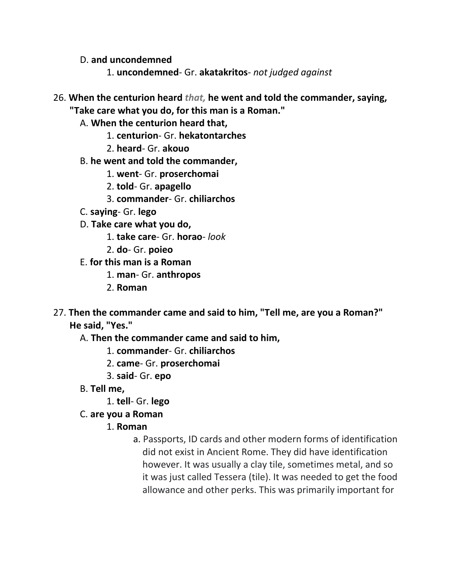D. **and uncondemned**

- 1. **uncondemned** Gr. **akatakritos** *not judged against*
- 26. **When the centurion heard** *that,* **he went and told the commander, saying, "Take care what you do, for this man is a Roman."**
	- A. **When the centurion heard that,**
		- 1. **centurion** Gr. **hekatontarches**
		- 2. **heard** Gr. **akouo**
	- B. **he went and told the commander,**
		- 1. **went** Gr. **proserchomai**
		- 2. **told** Gr. **apagello**
		- 3. **commander** Gr. **chiliarchos**
	- C. **saying** Gr. **lego**
	- D. **Take care what you do,**
		- 1. **take care** Gr. **horao** *look*
		- 2. **do** Gr. **poieo**
	- E. **for this man is a Roman**
		- 1. **man** Gr. **anthropos**
		- 2. **Roman**
- 27. **Then the commander came and said to him, "Tell me, are you a Roman?" He said, "Yes."**
	- A. **Then the commander came and said to him,**
		- 1. **commander** Gr. **chiliarchos**
		- 2. **came** Gr. **proserchomai**
		- 3. **said** Gr. **epo**
	- B. **Tell me,**
		- 1. **tell** Gr. **lego**
	- C. **are you a Roman**
		- 1. **Roman**
			- a. Passports, ID cards and other modern forms of identification did not exist in Ancient Rome. They did have identification however. It was usually a clay tile, sometimes metal, and so it was just called Tessera (tile). It was needed to get the food allowance and other perks. This was primarily important for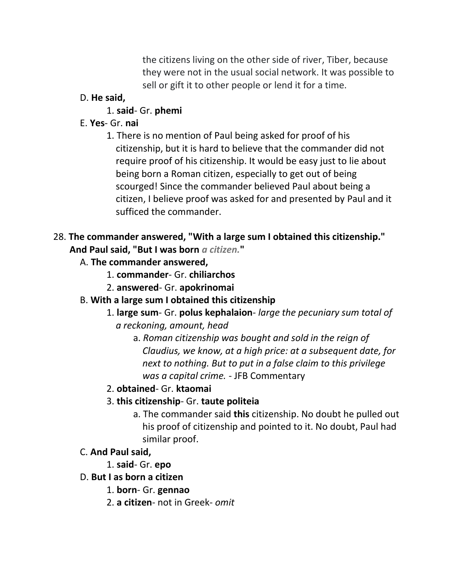the citizens living on the other side of river, Tiber, because they were not in the usual social network. It was possible to sell or gift it to other people or lend it for a time.

## D. **He said,**

## 1. **said**- Gr. **phemi**

# E. **Yes**- Gr. **nai**

1. There is no mention of Paul being asked for proof of his citizenship, but it is hard to believe that the commander did not require proof of his citizenship. It would be easy just to lie about being born a Roman citizen, especially to get out of being scourged! Since the commander believed Paul about being a citizen, I believe proof was asked for and presented by Paul and it sufficed the commander.

# 28. **The commander answered, "With a large sum I obtained this citizenship." And Paul said, "But I was born** *a citizen.***"**

- A. **The commander answered,**
	- 1. **commander** Gr. **chiliarchos**
	- 2. **answered** Gr. **apokrinomai**

# B. **With a large sum I obtained this citizenship**

- 1. **large sum** Gr. **polus kephalaion** *large the pecuniary sum total of a reckoning, amount, head*
	- a. *Roman citizenship was bought and sold in the reign of Claudius, we know, at a high price: at a subsequent date, for next to nothing. But to put in a false claim to this privilege was a capital crime.* - JFB Commentary
- 2. **obtained** Gr. **ktaomai**

# 3. **this citizenship**- Gr. **taute politeia**

a. The commander said **this** citizenship. No doubt he pulled out his proof of citizenship and pointed to it. No doubt, Paul had similar proof.

# C. **And Paul said,**

1. **said**- Gr. **epo**

# D. **But I as born a citizen**

- 1. **born** Gr. **gennao**
- 2. **a citizen** not in Greek- *omit*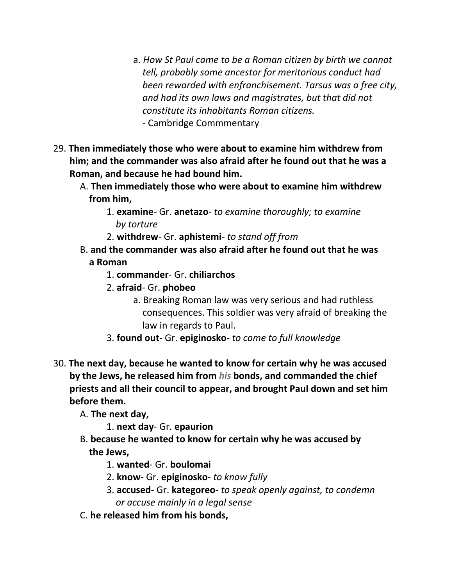- a. *How St Paul came to be a Roman citizen by birth we cannot tell, probably some ancestor for meritorious conduct had been rewarded with enfranchisement. Tarsus was a free city, and had its own laws and magistrates, but that did not constitute its inhabitants Roman citizens.* - Cambridge Commmentary
- 29. **Then immediately those who were about to examine him withdrew from him; and the commander was also afraid after he found out that he was a Roman, and because he had bound him.**
	- A. **Then immediately those who were about to examine him withdrew from him,**
		- 1. **examine** Gr. **anetazo** *to examine thoroughly; to examine by torture*
		- 2. **withdrew** Gr. **aphistemi** *to stand off from*
	- B. **and the commander was also afraid after he found out that he was a Roman**
		- 1. **commander** Gr. **chiliarchos**
		- 2. **afraid** Gr. **phobeo**
			- a. Breaking Roman law was very serious and had ruthless consequences. This soldier was very afraid of breaking the law in regards to Paul.
		- 3. **found out** Gr. **epiginosko** *to come to full knowledge*
- 30. **The next day, because he wanted to know for certain why he was accused by the Jews, he released him from** *his* **bonds, and commanded the chief priests and all their council to appear, and brought Paul down and set him before them.**
	- A. **The next day,**
		- 1. **next day** Gr. **epaurion**
	- B. **because he wanted to know for certain why he was accused by the Jews,**
		- 1. **wanted** Gr. **boulomai**
		- 2. **know** Gr. **epiginosko** *to know fully*
		- 3. **accused** Gr. **kategoreo** *to speak openly against, to condemn or accuse mainly in a legal sense*
	- C. **he released him from his bonds,**